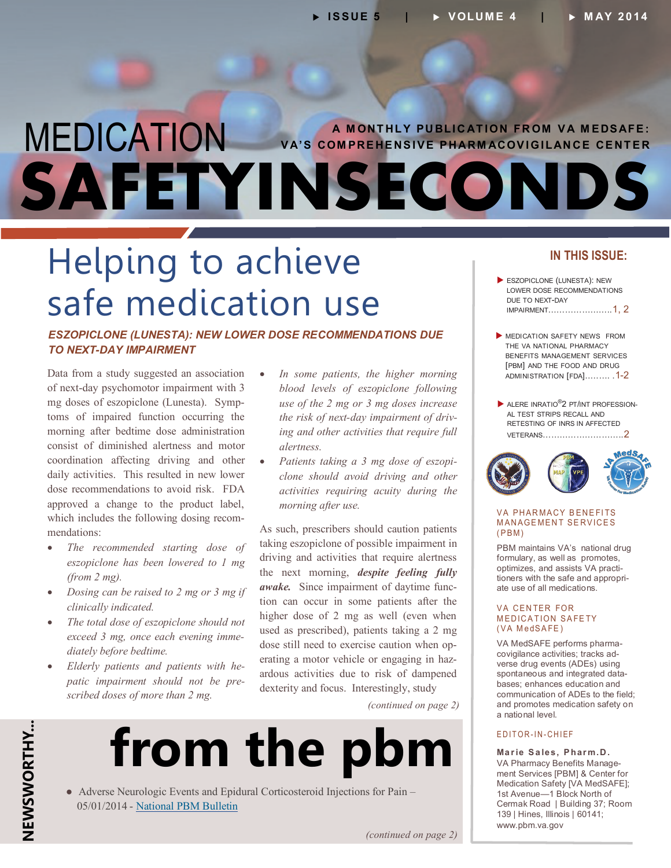### <span id="page-0-0"></span>MEDICATION **SAFETYINSECONDS A MONTHLY PUBLICATION FROM VA MEDSAFE: VA'S COMPREHENSIVE PHARMACOVIGILANCE CENTER**

# Helping to achieve safe medication use

#### *ESZOPICLONE (LUNESTA): NEW LOWER DOSE RECOMMENDATIONS DUE TO NEXT-DAY IMPAIRMENT*

Data from a study suggested an association of next-day psychomotor impairment with 3 mg doses of eszopiclone (Lunesta). Symp toms of impaired function occurring the morning after bedtime dose administration consist of diminished alertness and motor coordination affecting driving and other daily activities. This resulted in new lower dose recommendations to avoid risk. FDA approved a change to the product label, which includes the following dosing recommendations:

- *The recommended starting dose of eszopiclone has been lowered to 1 mg (from 2 mg).*
- *Dosing can be raised to 2 mg or 3 mg if clinically indicated.*
- *The total dose of eszopiclone should not exceed 3 mg, once each evening immediately before bedtime.*
- *Elderly patients and patients with he patic impairment should not be prescribed doses of more than 2 mg.*
- *In some patients, the higher morning blood levels of eszopiclone following use of the 2 mg or 3 mg doses increase the risk of next-day impairment of driv ing and other activities that require full alertness.*
- *Patients taking a 3 mg dose of eszopi clone should avoid driving and other activities requiring acuity during the morning after use.*

As such, prescribers should caution patients taking eszopiclone of possible impairment in driving and activities that require alertness the next morning, *despite feeling fully*  awake. Since impairment of daytime function can occur in some patients after the higher dose of 2 mg as well (even when used as prescribed), patients taking a 2 mg dose still need to exercise caution when operating a motor vehicle or engaging in haz ardous activities due to risk of dampened dexterity and focus. Interestingly, study

*(continued on page 2)*



 ● Adverse Neurologic Events and Epidural Corticosteroid Injections for Pain – 05/01/2014 - [National PBM Bulletin](http://www.pbm.va.gov/PBM/vacenterformedicationsafety/nationalpbmbulletin/Adverse_Neurologic_Events_and_Epidural_Corticosteriod_Injections_for_Pain.pdf)

### **IN THIS ISSUE:**

- ESZOPICLONE (LUNESTA): NEW LOWER DOSE RECOMMENDATIONS DUE TO NEXT-DAY [IMPAIRMENT…………………..1, 2](#page-0-0)
- **MEDICATION SAFETY NEWS FROM** THE VA NATIONAL PHARMACY BENEFITS MANAGEMENT SERVICES [PBM] AND THE FOOD AND DRUG [ADMINISTRATION \[FDA\]..……. .1](#page-0-0)-2
- $\blacktriangleright$  ALERE INRATIO $^\circledR$ 2 PT/INT PROFESSION-AL TEST STRIPS RECALL AND RETESTING OF INRS IN AFFECTED [VETERANS………………………..2](#page-1-0)



#### **VA PHARMACY BENEFITS MANAGEMENT SERVICES**  $(PBM)$

PBM maintains VA's national drug formulary, as well as promotes, optimizes, and assists VA practitioners with the safe and appropriate use of all medications.

#### VA CENTER FOR **MEDICATION SAFETY** (VA MedSAFE)

VA MedSAFE performs pharma covigilance activities; tracks ad verse drug events (ADEs) using spontaneous and integrated data bases; enhances education and communication of ADEs to the field; and promotes medication safety on a national level.

#### EDITOR-IN-CHIEF

**Ma r ie S a les, P har m. D .**  VA Pharmacy Benefits Manage ment Services [PBM] & Center for Medication Safety [VA MedSAFE]; 1st Avenue—1 Block North of Cermak Road | Building 37; Room 139 | Hines, Illinois | 60141; www.pbm.va.gov